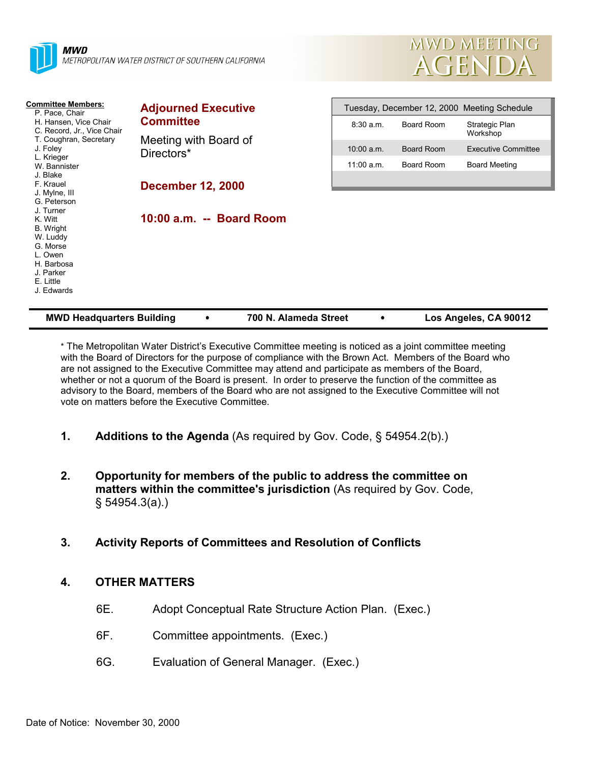



| <b>Committee Members:</b><br>P. Pace, Chair<br>H. Hansen, Vice Chair<br>C. Record, Jr., Vice Chair<br>T. Coughran, Secretary<br>J. Foley<br>L. Krieger<br>W. Bannister<br>J. Blake<br>F. Krauel<br>J. Mylne, III<br>G. Peterson<br>J. Turner<br>K. Witt<br>B. Wright<br>W. Luddy<br>G. Morse<br>L. Owen<br>H. Barbosa<br>J. Parker<br>E. Little<br>J. Edwards | <b>Adjourned Executive</b><br><b>Committee</b> |              | Tuesday, December 12, 2000 Meeting Schedule |                            |  |
|---------------------------------------------------------------------------------------------------------------------------------------------------------------------------------------------------------------------------------------------------------------------------------------------------------------------------------------------------------------|------------------------------------------------|--------------|---------------------------------------------|----------------------------|--|
|                                                                                                                                                                                                                                                                                                                                                               |                                                | $8:30$ a.m.  | Board Room                                  | Strategic Plan<br>Workshop |  |
|                                                                                                                                                                                                                                                                                                                                                               | Meeting with Board of<br>Directors*            | $10:00$ a.m. | Board Room                                  | Executive Committee        |  |
|                                                                                                                                                                                                                                                                                                                                                               |                                                | $11:00$ a.m. | Board Room                                  | <b>Board Meeting</b>       |  |
|                                                                                                                                                                                                                                                                                                                                                               | <b>December 12, 2000</b>                       |              |                                             |                            |  |
|                                                                                                                                                                                                                                                                                                                                                               | 10:00 a.m. -- Board Room                       |              |                                             |                            |  |

\* The Metropolitan Water District's Executive Committee meeting is noticed as a joint committee meeting with the Board of Directors for the purpose of compliance with the Brown Act. Members of the Board who are not assigned to the Executive Committee may attend and participate as members of the Board, whether or not a quorum of the Board is present. In order to preserve the function of the committee as advisory to the Board, members of the Board who are not assigned to the Executive Committee will not vote on matters before the Executive Committee.

**MWD Headquarters Building** ! **700 N. Alameda Street** ! **Los Angeles, CA 90012**

- **1. Additions to the Agenda** (As required by Gov. Code, § 54954.2(b).)
- **2. Opportunity for members of the public to address the committee on matters within the committee's jurisdiction** (As required by Gov. Code, § 54954.3(a).)
- **3. Activity Reports of Committees and Resolution of Conflicts**

#### **4. OTHER MATTERS**

- 6E. Adopt Conceptual Rate Structure Action Plan. (Exec.)
- 6F. Committee appointments. (Exec.)
- 6G. Evaluation of General Manager. (Exec.)